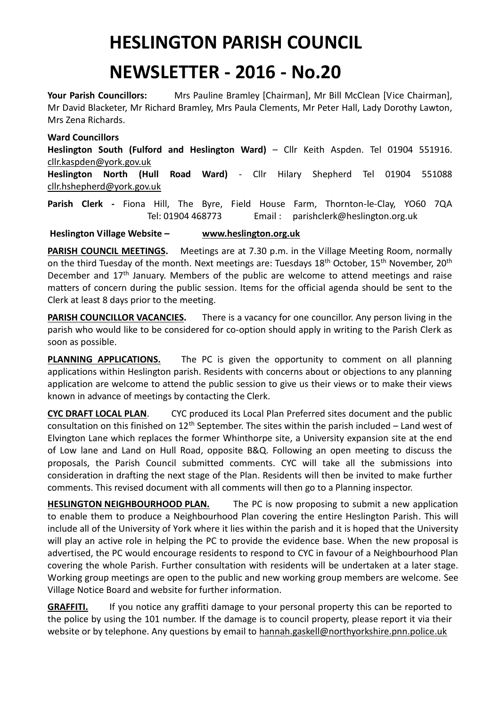## **HESLINGTON PARISH COUNCIL**

## **NEWSLETTER - 2016 - No.20**

Your Parish Councillors: Mrs Pauline Bramley [Chairman], Mr Bill McClean [Vice Chairman], Mr David Blacketer, Mr Richard Bramley, Mrs Paula Clements, Mr Peter Hall, Lady Dorothy Lawton, Mrs Zena Richards.

## **Ward Councillors**

**Heslington South (Fulford and Heslington Ward)** – Cllr Keith Aspden. Tel 01904 551916. [cllr.kaspden@york.gov.uk](mailto:cllr.kaspden@york.gov.uk)

**Heslington North (Hull Road Ward)** - Cllr Hilary Shepherd Tel 01904 551088 [cllr.hshepherd@york.gov.uk](mailto:cllr.hshepherd@york.gov.uk)

**Parish Clerk -** Fiona Hill, The Byre, Field House Farm, Thornton-le-Clay, YO60 7QA Tel: 01904 468773 Email : parishclerk@heslington.org.uk

**Heslington Village Website – [www.heslington.org.uk](http://www.heslington.org.uk/)**

**PARISH COUNCIL MEETINGS.** Meetings are at 7.30 p.m. in the Village Meeting Room, normally on the third Tuesday of the month. Next meetings are: Tuesdays 18<sup>th</sup> October, 15<sup>th</sup> November, 20<sup>th</sup> December and 17<sup>th</sup> January. Members of the public are welcome to attend meetings and raise matters of concern during the public session. Items for the official agenda should be sent to the Clerk at least 8 days prior to the meeting.

**PARISH COUNCILLOR VACANCIES.** There is a vacancy for one councillor. Any person living in the parish who would like to be considered for co-option should apply in writing to the Parish Clerk as soon as possible.

**PLANNING APPLICATIONS.** The PC is given the opportunity to comment on all planning applications within Heslington parish. Residents with concerns about or objections to any planning application are welcome to attend the public session to give us their views or to make their views known in advance of meetings by contacting the Clerk.

**CYC DRAFT LOCAL PLAN**. CYC produced its Local Plan Preferred sites document and the public consultation on this finished on  $12<sup>th</sup>$  September. The sites within the parish included – Land west of Elvington Lane which replaces the former Whinthorpe site, a University expansion site at the end of Low lane and Land on Hull Road, opposite B&Q. Following an open meeting to discuss the proposals, the Parish Council submitted comments. CYC will take all the submissions into consideration in drafting the next stage of the Plan. Residents will then be invited to make further comments. This revised document with all comments will then go to a Planning inspector.

**HESLINGTON NEIGHBOURHOOD PLAN.** The PC is now proposing to submit a new application to enable them to produce a Neighbourhood Plan covering the entire Heslington Parish. This will include all of the University of York where it lies within the parish and it is hoped that the University will play an active role in helping the PC to provide the evidence base. When the new proposal is advertised, the PC would encourage residents to respond to CYC in favour of a Neighbourhood Plan covering the whole Parish. Further consultation with residents will be undertaken at a later stage. Working group meetings are open to the public and new working group members are welcome. See Village Notice Board and website for further information.

**GRAFFITI.** If you notice any graffiti damage to your personal property this can be reported to the police by using the 101 number. If the damage is to council property, please report it via their website or by telephone. Any questions by email to [hannah.gaskell@northyorkshire.pnn.police.uk](mailto:hannah.gaskell@northyorkshire.pnn.police.uk)